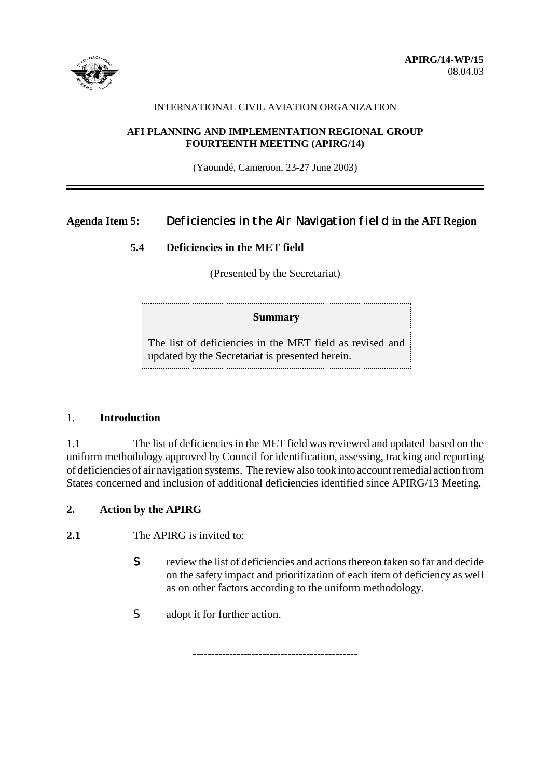

#### INTERNATIONAL CIVIL AVIATION ORGANIZATION

#### **AFI PLANNING AND IMPLEMENTATION REGIONAL GROUP FOURTEENTH MEETING (APIRG/14)**

(Yaoundé, Cameroon, 23-27 June 2003)

# **Agenda Item 5:** Deficiencies in the Air Navigation field **in the AFI Region**

### **5.4 Deficiencies in the MET field**

(Presented by the Secretariat)

### **Summary**

The list of deficiencies in the MET field as revised and updated by the Secretariat is presented herein. 

#### 1. **Introduction**

1.1 The list of deficiencies in the MET field was reviewed and updated based on the uniform methodology approved by Council for identification, assessing, tracking and reporting of deficiencies of air navigation systems. The review also took into account remedial action from States concerned and inclusion of additional deficiencies identified since APIRG/13 Meeting.

**---------------------------------------------**

### **2. Action by the APIRG**

**2.1** The APIRG is invited to:

- S review the list of deficiencies and actions thereon taken so far and decide on the safety impact and prioritization of each item of deficiency as well as on other factors according to the uniform methodology.
- S adopt it for further action.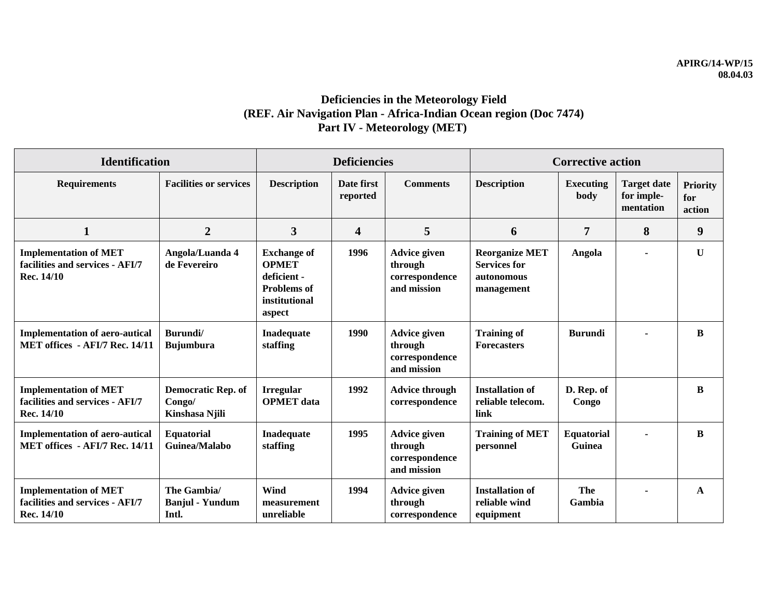# **Deficiencies in the Meteorology Field (REF. Air Navigation Plan - Africa-Indian Ocean region (Doc 7474) Part IV - Meteorology (MET)**

| <b>Identification</b>                                                         |                                                       | <b>Deficiencies</b>                                                                                |                        |                                                                 | <b>Corrective action</b>                                                 |                             |                                               |                                  |
|-------------------------------------------------------------------------------|-------------------------------------------------------|----------------------------------------------------------------------------------------------------|------------------------|-----------------------------------------------------------------|--------------------------------------------------------------------------|-----------------------------|-----------------------------------------------|----------------------------------|
| <b>Requirements</b>                                                           | <b>Facilities or services</b>                         | <b>Description</b>                                                                                 | Date first<br>reported | <b>Comments</b>                                                 | <b>Description</b>                                                       | Executing<br>body           | <b>Target date</b><br>for imple-<br>mentation | <b>Priority</b><br>for<br>action |
| $\mathbf{1}$                                                                  | $\overline{2}$                                        | 3                                                                                                  | 4                      | 5                                                               | 6                                                                        | $\overline{7}$              | 8                                             | 9                                |
| <b>Implementation of MET</b><br>facilities and services - AFI/7<br>Rec. 14/10 | Angola/Luanda 4<br>de Fevereiro                       | <b>Exchange of</b><br><b>OPMET</b><br>deficient -<br><b>Problems</b> of<br>institutional<br>aspect | 1996                   | <b>Advice given</b><br>through<br>correspondence<br>and mission | <b>Reorganize MET</b><br><b>Services for</b><br>autonomous<br>management | Angola                      | $\blacksquare$                                | $\mathbf{U}$                     |
| <b>Implementation of aero-autical</b><br>MET offices - AFI/7 Rec. 14/11       | Burundi/<br><b>Bujumbura</b>                          | Inadequate<br>staffing                                                                             | 1990                   | <b>Advice given</b><br>through<br>correspondence<br>and mission | <b>Training of</b><br><b>Forecasters</b>                                 | <b>Burundi</b>              | $\blacksquare$                                | B                                |
| <b>Implementation of MET</b><br>facilities and services - AFI/7<br>Rec. 14/10 | <b>Democratic Rep. of</b><br>Congo/<br>Kinshasa Njili | <b>Irregular</b><br><b>OPMET</b> data                                                              | 1992                   | <b>Advice through</b><br>correspondence                         | <b>Installation of</b><br>reliable telecom.<br>link                      | D. Rep. of<br>Congo         |                                               | B                                |
| <b>Implementation of aero-autical</b><br>MET offices - AFI/7 Rec. 14/11       | <b>Equatorial</b><br>Guinea/Malabo                    | Inadequate<br>staffing                                                                             | 1995                   | <b>Advice given</b><br>through<br>correspondence<br>and mission | <b>Training of MET</b><br>personnel                                      | <b>Equatorial</b><br>Guinea |                                               | $\bf{B}$                         |
| <b>Implementation of MET</b><br>facilities and services - AFI/7<br>Rec. 14/10 | The Gambia/<br><b>Banjul</b> - Yundum<br>Intl.        | Wind<br>measurement<br>unreliable                                                                  | 1994                   | <b>Advice given</b><br>through<br>correspondence                | <b>Installation of</b><br>reliable wind<br>equipment                     | The<br>Gambia               |                                               | A                                |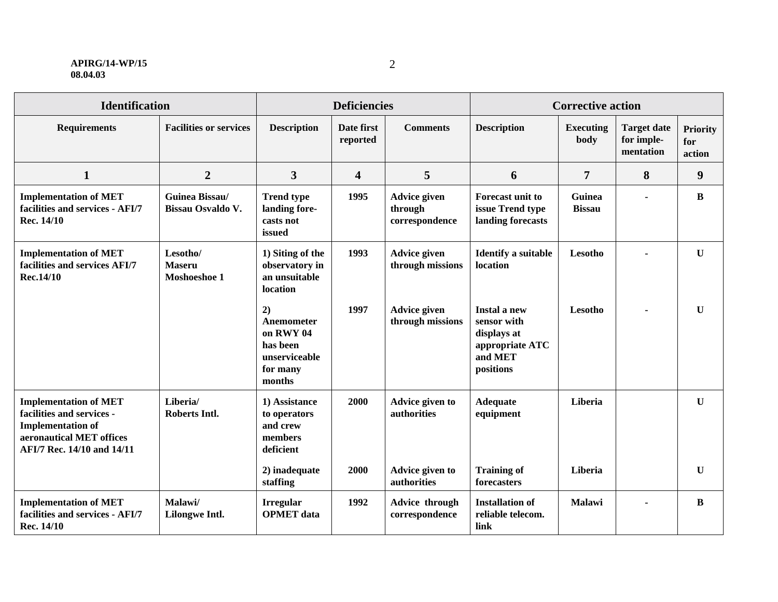#### **APIRG/14-WP/15 08.04.03**

| <b>Identification</b>                                                                                                                           |                                           | <b>Deficiencies</b>                                                              |                         |                                                  | <b>Corrective action</b>                                                                     |                          |                                               |                                  |
|-------------------------------------------------------------------------------------------------------------------------------------------------|-------------------------------------------|----------------------------------------------------------------------------------|-------------------------|--------------------------------------------------|----------------------------------------------------------------------------------------------|--------------------------|-----------------------------------------------|----------------------------------|
| <b>Requirements</b>                                                                                                                             | <b>Facilities or services</b>             | <b>Description</b>                                                               | Date first<br>reported  | <b>Comments</b>                                  | <b>Description</b>                                                                           | <b>Executing</b><br>body | <b>Target date</b><br>for imple-<br>mentation | <b>Priority</b><br>for<br>action |
| $\mathbf{1}$                                                                                                                                    | $\boldsymbol{2}$                          | 3                                                                                | $\overline{\mathbf{4}}$ | 5                                                | 6                                                                                            | 7                        | 8                                             | 9                                |
| <b>Implementation of MET</b><br>facilities and services - AFI/7<br>Rec. 14/10                                                                   | Guinea Bissau/<br>Bissau Osvaldo V.       | <b>Trend type</b><br>landing fore-<br>casts not<br>issued                        | 1995                    | <b>Advice given</b><br>through<br>correspondence | Forecast unit to<br>issue Trend type<br>landing forecasts                                    | Guinea<br><b>Bissau</b>  |                                               | $\bf{B}$                         |
| <b>Implementation of MET</b><br>facilities and services AFI/7<br>Rec.14/10                                                                      | Lesotho/<br><b>Maseru</b><br>Moshoeshoe 1 | 1) Siting of the<br>observatory in<br>an unsuitable<br>location                  | 1993                    | <b>Advice given</b><br>through missions          | <b>Identify a suitable</b><br>location                                                       | Lesotho                  |                                               | $\mathbf U$                      |
|                                                                                                                                                 |                                           | 2)<br>Anemometer<br>on RWY 04<br>has been<br>unserviceable<br>for many<br>months | 1997                    | <b>Advice given</b><br>through missions          | <b>Instal a new</b><br>sensor with<br>displays at<br>appropriate ATC<br>and MET<br>positions | Lesotho                  | $\blacksquare$                                | $\mathbf U$                      |
| <b>Implementation of MET</b><br>facilities and services -<br><b>Implementation of</b><br>aeronautical MET offices<br>AFI/7 Rec. 14/10 and 14/11 | Liberia/<br><b>Roberts Intl.</b>          | 1) Assistance<br>to operators<br>and crew<br>members<br>deficient                | 2000                    | Advice given to<br>authorities                   | <b>Adequate</b><br>equipment                                                                 | Liberia                  |                                               | $\mathbf U$                      |
|                                                                                                                                                 |                                           | 2) inadequate<br>staffing                                                        | 2000                    | Advice given to<br>authorities                   | <b>Training of</b><br>forecasters                                                            | Liberia                  |                                               | $\mathbf U$                      |
| <b>Implementation of MET</b><br>facilities and services - AFI/7<br>Rec. 14/10                                                                   | Malawi/<br>Lilongwe Intl.                 | <b>Irregular</b><br><b>OPMET</b> data                                            | 1992                    | Advice through<br>correspondence                 | <b>Installation of</b><br>reliable telecom.<br>link                                          | Malawi                   | $\blacksquare$                                | $\bf{B}$                         |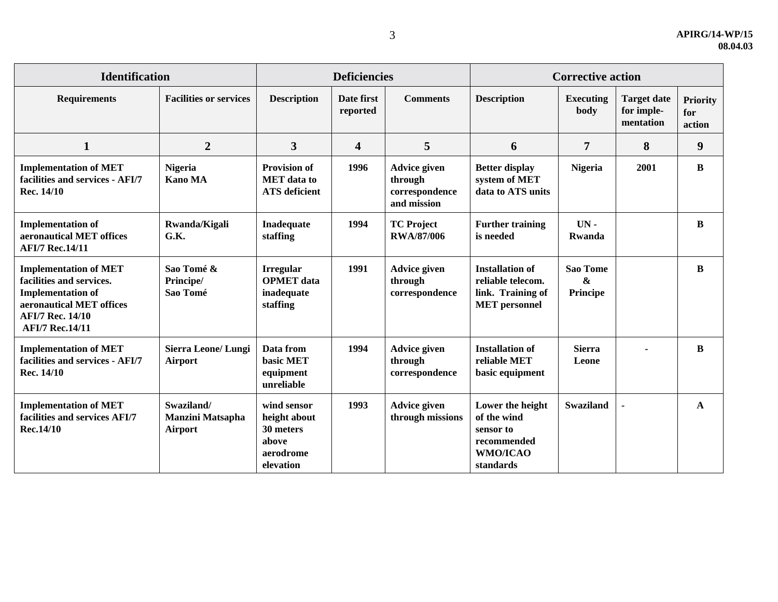| <b>Identification</b>                                                                                                                                                 |                                                         | <b>Deficiencies</b>                                                         |                         |                                                                 | <b>Corrective action</b>                                                                 |                                                         |                                               |                                  |
|-----------------------------------------------------------------------------------------------------------------------------------------------------------------------|---------------------------------------------------------|-----------------------------------------------------------------------------|-------------------------|-----------------------------------------------------------------|------------------------------------------------------------------------------------------|---------------------------------------------------------|-----------------------------------------------|----------------------------------|
| <b>Requirements</b>                                                                                                                                                   | <b>Facilities or services</b>                           | <b>Description</b>                                                          | Date first<br>reported  | <b>Comments</b>                                                 | <b>Description</b>                                                                       | <b>Executing</b><br>body                                | <b>Target date</b><br>for imple-<br>mentation | <b>Priority</b><br>for<br>action |
| $\mathbf{1}$                                                                                                                                                          | $\overline{2}$                                          | 3                                                                           | $\overline{\mathbf{4}}$ | 5                                                               | 6                                                                                        | $\overline{7}$                                          | 8                                             | 9                                |
| <b>Implementation of MET</b><br>facilities and services - AFI/7<br>Rec. 14/10                                                                                         | <b>Nigeria</b><br><b>Kano MA</b>                        | <b>Provision of</b><br><b>MET</b> data to<br><b>ATS</b> deficient           | 1996                    | <b>Advice given</b><br>through<br>correspondence<br>and mission | <b>Better display</b><br>system of MET<br>data to ATS units                              | <b>Nigeria</b>                                          | 2001                                          | $\bf{B}$                         |
| <b>Implementation of</b><br>aeronautical MET offices<br><b>AFI/7 Rec.14/11</b>                                                                                        | Rwanda/Kigali<br>G.K.                                   | Inadequate<br>staffing                                                      | 1994                    | <b>TC Project</b><br><b>RWA/87/006</b>                          | <b>Further training</b><br>is needed                                                     | $UN -$<br>Rwanda                                        |                                               | B                                |
| <b>Implementation of MET</b><br>facilities and services.<br><b>Implementation of</b><br>aeronautical MET offices<br><b>AFI/7 Rec. 14/10</b><br><b>AFI/7 Rec.14/11</b> | Sao Tomé &<br>Principe/<br>Sao Tomé                     | <b>Irregular</b><br><b>OPMET</b> data<br>inadequate<br>staffing             | 1991                    | <b>Advice given</b><br>through<br>correspondence                | <b>Installation of</b><br>reliable telecom.<br>link. Training of<br><b>MET</b> personnel | <b>Sao Tome</b><br>$\boldsymbol{\&}$<br><b>Principe</b> |                                               | B                                |
| <b>Implementation of MET</b><br>facilities and services - AFI/7<br>Rec. 14/10                                                                                         | <b>Sierra Leone/Lungi</b><br><b>Airport</b>             | Data from<br>basic MET<br>equipment<br>unreliable                           | 1994                    | <b>Advice given</b><br>through<br>correspondence                | <b>Installation of</b><br>reliable MET<br>basic equipment                                | <b>Sierra</b><br>Leone                                  |                                               | $\bf{B}$                         |
| <b>Implementation of MET</b><br>facilities and services AFI/7<br>Rec.14/10                                                                                            | Swaziland/<br><b>Manzini Matsapha</b><br><b>Airport</b> | wind sensor<br>height about<br>30 meters<br>above<br>aerodrome<br>elevation | 1993                    | <b>Advice given</b><br>through missions                         | Lower the height<br>of the wind<br>sensor to<br>recommended<br>WMO/ICAO<br>standards     | <b>Swaziland</b>                                        | ÷,                                            | A                                |